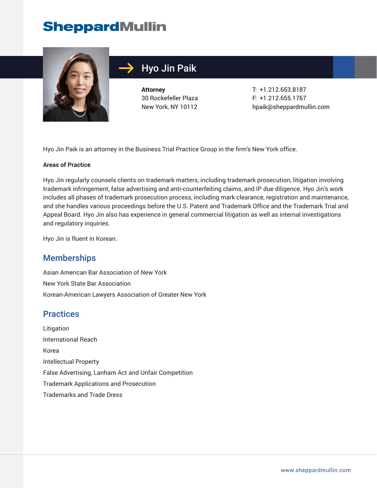# **SheppardMullin**



# Hyo Jin Paik

**Attorney** 30 Rockefeller Plaza New York, NY 10112 T: +1.212.653.8187 F: +1.212.655.1767 hpaik@sheppardmullin.com

Hyo Jin Paik is an attorney in the Business Trial Practice Group in the firm's New York office.

#### **Areas of Practice**

Hyo Jin regularly counsels clients on trademark matters, including trademark prosecution, litigation involving trademark infringement, false advertising and anti-counterfeiting claims, and IP due diligence. Hyo Jin's work includes all phases of trademark prosecution process, including mark clearance, registration and maintenance, and she handles various proceedings before the U.S. Patent and Trademark Office and the Trademark Trial and Appeal Board. Hyo Jin also has experience in general commercial litigation as well as internal investigations and regulatory inquiries.

Hyo Jin is fluent in Korean.

#### **Memberships**

Asian American Bar Association of New York New York State Bar Association Korean-American Lawyers Association of Greater New York

#### **Practices**

Litigation International Reach Korea Intellectual Property False Advertising, Lanham Act and Unfair Competition Trademark Applications and Prosecution Trademarks and Trade Dress